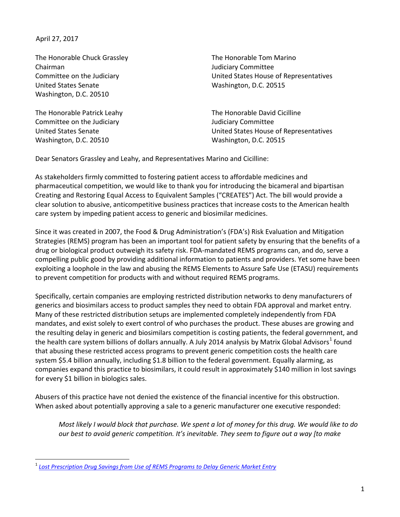April 27, 2017

The Honorable Chuck Grassley Chairman Committee on the Judiciary United States Senate Washington, D.C. 20510

The Honorable Patrick Leahy Committee on the Judiciary United States Senate Washington, D.C. 20510

The Honorable Tom Marino Judiciary Committee United States House of Representatives Washington, D.C. 20515

The Honorable David Cicilline Judiciary Committee United States House of Representatives Washington, D.C. 20515

Dear Senators Grassley and Leahy, and Representatives Marino and Cicilline:

As stakeholders firmly committed to fostering patient access to affordable medicines and pharmaceutical competition, we would like to thank you for introducing the bicameral and bipartisan Creating and Restoring Equal Access to Equivalent Samples ("CREATES") Act. The bill would provide a clear solution to abusive, anticompetitive business practices that increase costs to the American health care system by impeding patient access to generic and biosimilar medicines.

Since it was created in 2007, the Food & Drug Administration's (FDA's) Risk Evaluation and Mitigation Strategies (REMS) program has been an important tool for patient safety by ensuring that the benefits of a drug or biological product outweigh its safety risk. FDA-mandated REMS programs can, and do, serve a compelling public good by providing additional information to patients and providers. Yet some have been exploiting a loophole in the law and abusing the REMS Elements to Assure Safe Use (ETASU) requirements to prevent competition for products with and without required REMS programs.

Specifically, certain companies are employing restricted distribution networks to deny manufacturers of generics and biosimilars access to product samples they need to obtain FDA approval and market entry. Many of these restricted distribution setups are implemented completely independently from FDA mandates, and exist solely to exert control of who purchases the product. These abuses are growing and the resulting delay in generic and biosimilars competition is costing patients, the federal government, and the health care system billions of dollars annually. A July 20[1](#page-0-0)4 analysis by Matrix Global Advisors<sup>1</sup> found that abusing these restricted access programs to prevent generic competition costs the health care system \$5.4 billion annually, including \$1.8 billion to the federal government. Equally alarming, as companies expand this practice to biosimilars, it could result in approximately \$140 million in lost savings for every \$1 billion in biologics sales.

Abusers of this practice have not denied the existence of the financial incentive for this obstruction. When asked about potentially approving a sale to a generic manufacturer one executive responded:

*Most likely I would block that purchase. We spent a lot of money for this drug. We would like to do our best to avoid generic competition. It's inevitable. They seem to figure out a way [to make* 

<span id="page-0-0"></span> <sup>1</sup> *[Lost Prescription Drug Savings from Use of REMS Programs to Delay Generic Market Entry](http://static1.1.sqspcdn.com/static/f/460582/25228342/1406034596510/REMS_Study_July.pdf?token=i30qyNbDbEWuz47dGuF8ljhZhds%3D)*